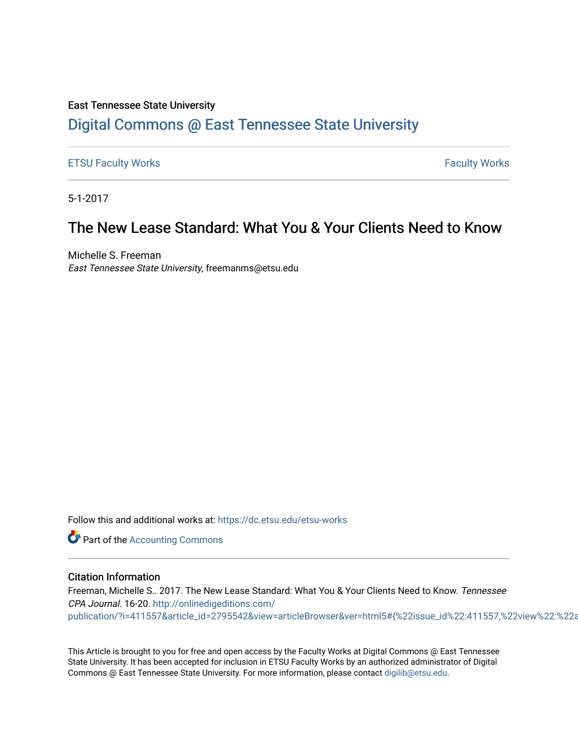### East Tennessee State University

### [Digital Commons @ East Tennessee State University](https://dc.etsu.edu/)

#### [ETSU Faculty Works](https://dc.etsu.edu/etsu-works) **Faculty Works** [Faculty Works](https://dc.etsu.edu/faculty-works) **Faculty Works**

5-1-2017

## The New Lease Standard: What You & Your Clients Need to Know

Michelle S. Freeman East Tennessee State University, freemanms@etsu.edu

Follow this and additional works at: [https://dc.etsu.edu/etsu-works](https://dc.etsu.edu/etsu-works?utm_source=dc.etsu.edu%2Fetsu-works%2F5774&utm_medium=PDF&utm_campaign=PDFCoverPages) 

**Part of the [Accounting Commons](http://network.bepress.com/hgg/discipline/625?utm_source=dc.etsu.edu%2Fetsu-works%2F5774&utm_medium=PDF&utm_campaign=PDFCoverPages)** 

#### Citation Information

Freeman, Michelle S.. 2017. The New Lease Standard: What You & Your Clients Need to Know. Tennessee CPA Journal. 16-20. [http://onlinedigeditions.com/](http://onlinedigeditions.com/publication/?i=411557&article_id=2795542&view=articleBrowser&ver=html5#{%22issue_id%22:411557,%22view%22:%22articleBrowser%22,%22article_id%22:%222795542%22}) publication/?i=411557&article\_id=2795542&view=articleBrowser&ver=html5#{%22issue\_id%22:411557,%22view%22:%22a

This Article is brought to you for free and open access by the Faculty Works at Digital Commons @ East Tennessee State University. It has been accepted for inclusion in ETSU Faculty Works by an authorized administrator of Digital Commons @ East Tennessee State University. For more information, please contact [digilib@etsu.edu.](mailto:digilib@etsu.edu)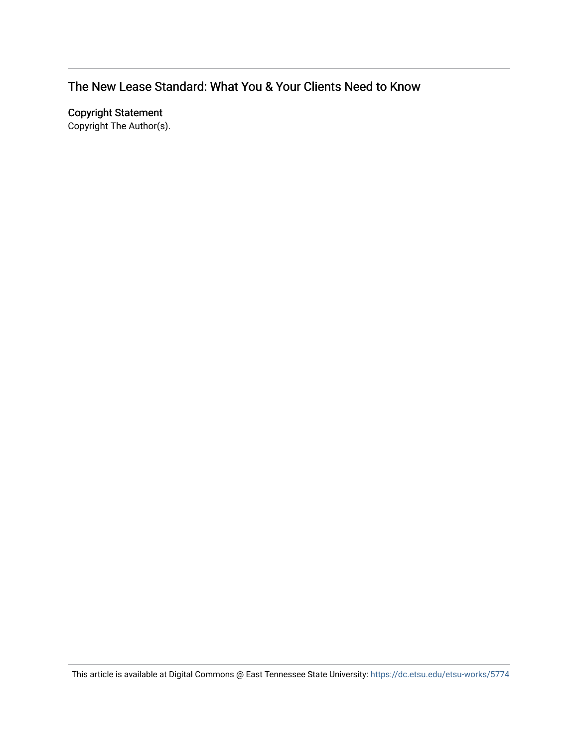### The New Lease Standard: What You & Your Clients Need to Know

Copyright Statement

Copyright The Author(s).

This article is available at Digital Commons @ East Tennessee State University: <https://dc.etsu.edu/etsu-works/5774>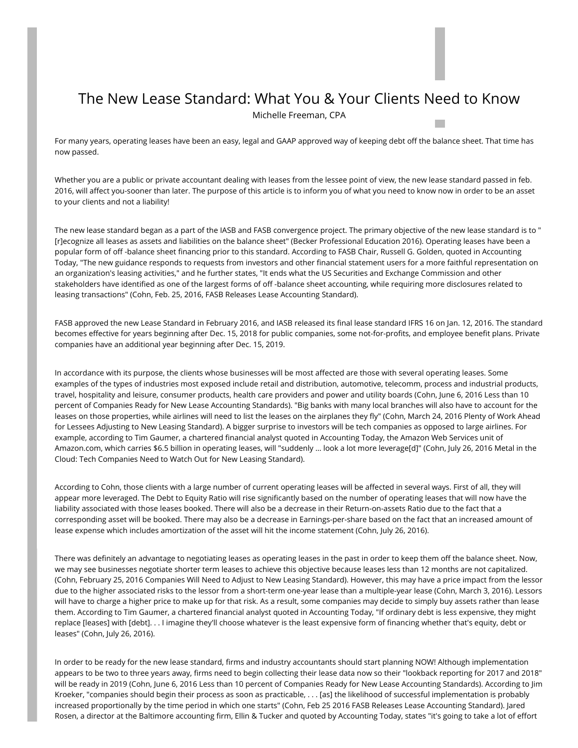# The New Lease Standard: What You & Your Clients Need to Know

Michelle Freeman, CPA

For many years, operating leases have been an easy, legal and GAAP approved way of keeping debt off the balance sheet. That time has now passed.

Whether you are a public or private accountant dealing with leases from the lessee point of view, the new lease standard passed in feb. 2016, will affect you-sooner than later. The purpose of this article is to inform you of what you need to know now in order to be an asset to your clients and not a liability!

The new lease standard began as a part of the IASB and FASB convergence project. The primary objective of the new lease standard is to " [r]ecognize all leases as assets and liabilities on the balance sheet" (Becker Professional Education 2016). Operating leases have been a popular form of off -balance sheet financing prior to this standard. According to FASB Chair, Russell G. Golden, quoted in Accounting Today, "The new guidance responds to requests from investors and other financial statement users for a more faithful representation on an organization's leasing activities," and he further states, "It ends what the US Securities and Exchange Commission and other stakeholders have identified as one of the largest forms of off -balance sheet accounting, while requiring more disclosures related to leasing transactions" (Cohn, Feb. 25, 2016, FASB Releases Lease Accounting Standard).

FASB approved the new Lease Standard in February 2016, and IASB released its final lease standard IFRS 16 on Jan. 12, 2016. The standard becomes effective for years beginning after Dec. 15, 2018 for public companies, some not-for-profits, and employee benefit plans. Private companies have an additional year beginning after Dec. 15, 2019.

In accordance with its purpose, the clients whose businesses will be most affected are those with several operating leases. Some examples of the types of industries most exposed include retail and distribution, automotive, telecomm, process and industrial products, travel, hospitality and leisure, consumer products, health care providers and power and utility boards (Cohn, June 6, 2016 Less than 10 percent of Companies Ready for New Lease Accounting Standards). "Big banks with many local branches will also have to account for the leases on those properties, while airlines will need to list the leases on the airplanes they fly" (Cohn, March 24, 2016 Plenty of Work Ahead for Lessees Adjusting to New Leasing Standard). A bigger surprise to investors will be tech companies as opposed to large airlines. For example, according to Tim Gaumer, a chartered financial analyst quoted in Accounting Today, the Amazon Web Services unit of Amazon.com, which carries \$6.5 billion in operating leases, will "suddenly … look a lot more leverage[d]" (Cohn, July 26, 2016 Metal in the Cloud: Tech Companies Need to Watch Out for New Leasing Standard).

According to Cohn, those clients with a large number of current operating leases will be affected in several ways. First of all, they will appear more leveraged. The Debt to Equity Ratio will rise significantly based on the number of operating leases that will now have the liability associated with those leases booked. There will also be a decrease in their Return-on-assets Ratio due to the fact that a corresponding asset will be booked. There may also be a decrease in Earnings-per-share based on the fact that an increased amount of lease expense which includes amortization of the asset will hit the income statement (Cohn, July 26, 2016).

There was definitely an advantage to negotiating leases as operating leases in the past in order to keep them off the balance sheet. Now, we may see businesses negotiate shorter term leases to achieve this objective because leases less than 12 months are not capitalized. (Cohn, February 25, 2016 Companies Will Need to Adjust to New Leasing Standard). However, this may have a price impact from the lessor due to the higher associated risks to the lessor from a short-term one-year lease than a multiple-year lease (Cohn, March 3, 2016). Lessors will have to charge a higher price to make up for that risk. As a result, some companies may decide to simply buy assets rather than lease them. According to Tim Gaumer, a chartered financial analyst quoted in Accounting Today, "If ordinary debt is less expensive, they might replace [leases] with [debt]. . . I imagine they'll choose whatever is the least expensive form of financing whether that's equity, debt or leases" (Cohn, July 26, 2016).

In order to be ready for the new lease standard, firms and industry accountants should start planning NOW! Although implementation appears to be two to three years away, firms need to begin collecting their lease data now so their "lookback reporting for 2017 and 2018" will be ready in 2019 (Cohn, June 6, 2016 Less than 10 percent of Companies Ready for New Lease Accounting Standards). According to Jim Kroeker, "companies should begin their process as soon as practicable, . . . [as] the likelihood of successful implementation is probably increased proportionally by the time period in which one starts" (Cohn, Feb 25 2016 FASB Releases Lease Accounting Standard). Jared Rosen, a director at the Baltimore accounting firm, Ellin & Tucker and quoted by Accounting Today, states "it's going to take a lot of effort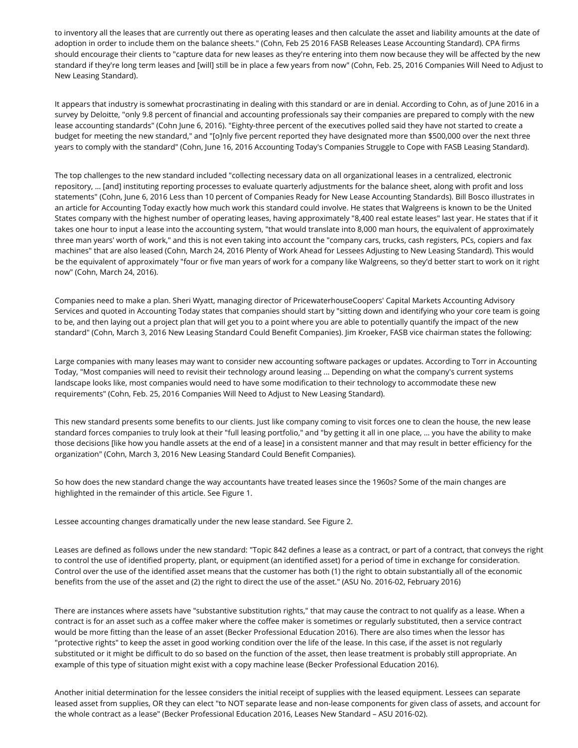to inventory all the leases that are currently out there as operating leases and then calculate the asset and liability amounts at the date of adoption in order to include them on the balance sheets." (Cohn, Feb 25 2016 FASB Releases Lease Accounting Standard). CPA firms should encourage their clients to "capture data for new leases as they're entering into them now because they will be affected by the new standard if they're long term leases and [will] still be in place a few years from now" (Cohn, Feb. 25, 2016 Companies Will Need to Adjust to New Leasing Standard).

It appears that industry is somewhat procrastinating in dealing with this standard or are in denial. According to Cohn, as of June 2016 in a survey by Deloitte, "only 9.8 percent of financial and accounting professionals say their companies are prepared to comply with the new lease accounting standards" (Cohn June 6, 2016). "Eighty-three percent of the executives polled said they have not started to create a budget for meeting the new standard," and "[o]nly five percent reported they have designated more than \$500,000 over the next three years to comply with the standard" (Cohn, June 16, 2016 Accounting Today's Companies Struggle to Cope with FASB Leasing Standard).

The top challenges to the new standard included "collecting necessary data on all organizational leases in a centralized, electronic repository, … [and] instituting reporting processes to evaluate quarterly adjustments for the balance sheet, along with profit and loss statements" (Cohn, June 6, 2016 Less than 10 percent of Companies Ready for New Lease Accounting Standards). Bill Bosco illustrates in an article for Accounting Today exactly how much work this standard could involve. He states that Walgreens is known to be the United States company with the highest number of operating leases, having approximately "8,400 real estate leases" last year. He states that if it takes one hour to input a lease into the accounting system, "that would translate into 8,000 man hours, the equivalent of approximately three man years' worth of work," and this is not even taking into account the "company cars, trucks, cash registers, PCs, copiers and fax machines" that are also leased (Cohn, March 24, 2016 Plenty of Work Ahead for Lessees Adjusting to New Leasing Standard). This would be the equivalent of approximately "four or five man years of work for a company like Walgreens, so they'd better start to work on it right now" (Cohn, March 24, 2016).

Companies need to make a plan. Sheri Wyatt, managing director of PricewaterhouseCoopers' Capital Markets Accounting Advisory Services and quoted in Accounting Today states that companies should start by "sitting down and identifying who your core team is going to be, and then laying out a project plan that will get you to a point where you are able to potentially quantify the impact of the new standard" (Cohn, March 3, 2016 New Leasing Standard Could Benefit Companies). Jim Kroeker, FASB vice chairman states the following:

Large companies with many leases may want to consider new accounting software packages or updates. According to Torr in Accounting Today, "Most companies will need to revisit their technology around leasing ... Depending on what the company's current systems landscape looks like, most companies would need to have some modification to their technology to accommodate these new requirements" (Cohn, Feb. 25, 2016 Companies Will Need to Adjust to New Leasing Standard).

This new standard presents some benefits to our clients. Just like company coming to visit forces one to clean the house, the new lease standard forces companies to truly look at their "full leasing portfolio," and "by getting it all in one place, … you have the ability to make those decisions [like how you handle assets at the end of a lease] in a consistent manner and that may result in better efficiency for the organization" (Cohn, March 3, 2016 New Leasing Standard Could Benefit Companies).

So how does the new standard change the way accountants have treated leases since the 1960s? Some of the main changes are highlighted in the remainder of this article. See Figure 1.

Lessee accounting changes dramatically under the new lease standard. See Figure 2.

Leases are defined as follows under the new standard: "Topic 842 defines a lease as a contract, or part of a contract, that conveys the right to control the use of identified property, plant, or equipment (an identified asset) for a period of time in exchange for consideration. Control over the use of the identified asset means that the customer has both (1) the right to obtain substantially all of the economic benefits from the use of the asset and (2) the right to direct the use of the asset." (ASU No. 2016-02, February 2016)

There are instances where assets have "substantive substitution rights," that may cause the contract to not qualify as a lease. When a contract is for an asset such as a coffee maker where the coffee maker is sometimes or regularly substituted, then a service contract would be more fitting than the lease of an asset (Becker Professional Education 2016). There are also times when the lessor has "protective rights" to keep the asset in good working condition over the life of the lease. In this case, if the asset is not regularly substituted or it might be difficult to do so based on the function of the asset, then lease treatment is probably still appropriate. An example of this type of situation might exist with a copy machine lease (Becker Professional Education 2016).

Another initial determination for the lessee considers the initial receipt of supplies with the leased equipment. Lessees can separate leased asset from supplies, OR they can elect "to NOT separate lease and non-lease components for given class of assets, and account for the whole contract as a lease" (Becker Professional Education 2016, Leases New Standard – ASU 2016-02).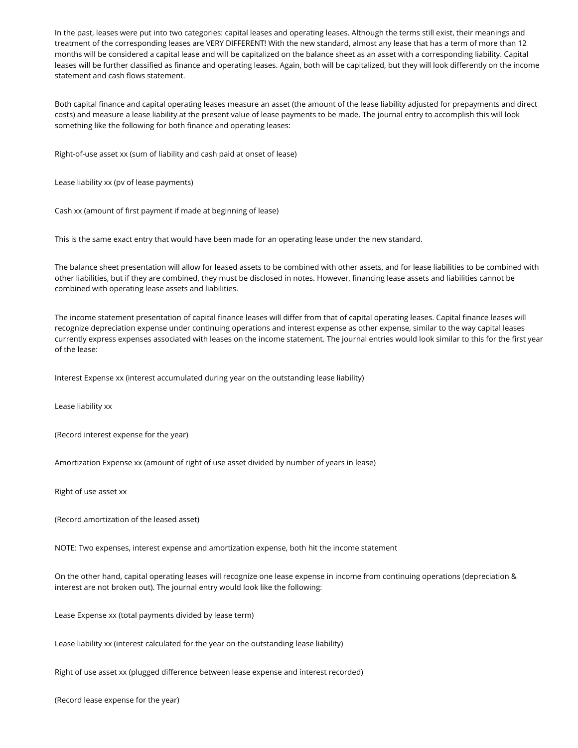In the past, leases were put into two categories: capital leases and operating leases. Although the terms still exist, their meanings and treatment of the corresponding leases are VERY DIFFERENT! With the new standard, almost any lease that has a term of more than 12 months will be considered a capital lease and will be capitalized on the balance sheet as an asset with a corresponding liability. Capital leases will be further classified as finance and operating leases. Again, both will be capitalized, but they will look differently on the income statement and cash flows statement.

Both capital finance and capital operating leases measure an asset (the amount of the lease liability adjusted for prepayments and direct costs) and measure a lease liability at the present value of lease payments to be made. The journal entry to accomplish this will look something like the following for both finance and operating leases:

Right-of-use asset xx (sum of liability and cash paid at onset of lease)

Lease liability xx (pv of lease payments)

Cash xx (amount of first payment if made at beginning of lease)

This is the same exact entry that would have been made for an operating lease under the new standard.

The balance sheet presentation will allow for leased assets to be combined with other assets, and for lease liabilities to be combined with other liabilities, but if they are combined, they must be disclosed in notes. However, financing lease assets and liabilities cannot be combined with operating lease assets and liabilities.

The income statement presentation of capital finance leases will differ from that of capital operating leases. Capital finance leases will recognize depreciation expense under continuing operations and interest expense as other expense, similar to the way capital leases currently express expenses associated with leases on the income statement. The journal entries would look similar to this for the first year of the lease:

Interest Expense xx (interest accumulated during year on the outstanding lease liability)

Lease liability xx

(Record interest expense for the year)

Amortization Expense xx (amount of right of use asset divided by number of years in lease)

Right of use asset xx

(Record amortization of the leased asset)

NOTE: Two expenses, interest expense and amortization expense, both hit the income statement

On the other hand, capital operating leases will recognize one lease expense in income from continuing operations (depreciation & interest are not broken out). The journal entry would look like the following:

Lease Expense xx (total payments divided by lease term)

Lease liability xx (interest calculated for the year on the outstanding lease liability)

Right of use asset xx (plugged difference between lease expense and interest recorded)

(Record lease expense for the year)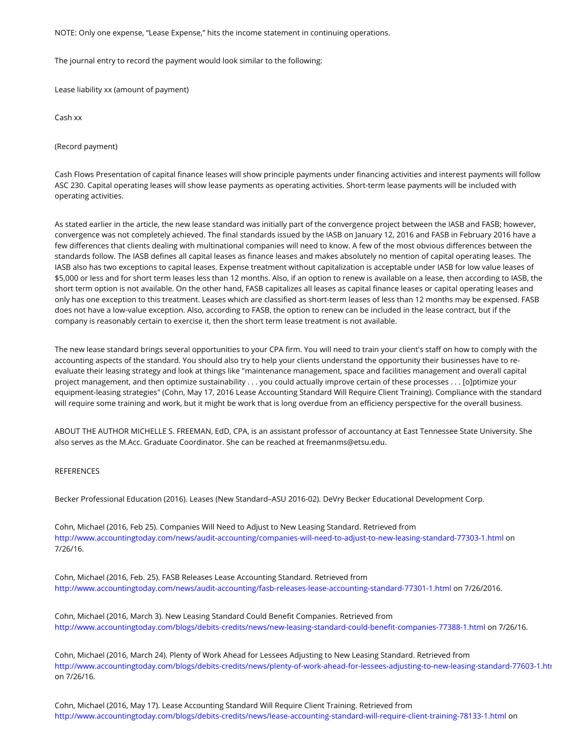NOTE: Only one expense, "Lease Expense," hits the income statement in continuing operations.

The journal entry to record the payment would look similar to the following:

Lease liability xx (amount of payment)

Cash xx

(Record payment)

Cash Flows Presentation of capital finance leases will show principle payments under financing activities and interest payments will follow ASC 230. Capital operating leases will show lease payments as operating activities. Short-term lease payments will be included with operating activities.

As stated earlier in the article, the new lease standard was initially part of the convergence project between the IASB and FASB; however, convergence was not completely achieved. The final standards issued by the IASB on January 12, 2016 and FASB in February 2016 have a few differences that clients dealing with multinational companies will need to know. A few of the most obvious differences between the standards follow. The IASB defines all capital leases as finance leases and makes absolutely no mention of capital operating leases. The IASB also has two exceptions to capital leases. Expense treatment without capitalization is acceptable under IASB for low value leases of \$5,000 or less and for short term leases less than 12 months. Also, if an option to renew is available on a lease, then according to IASB, the short term option is not available. On the other hand, FASB capitalizes all leases as capital finance leases or capital operating leases and only has one exception to this treatment. Leases which are classified as short-term leases of less than 12 months may be expensed. FASB does not have a low-value exception. Also, according to FASB, the option to renew can be included in the lease contract, but if the company is reasonably certain to exercise it, then the short term lease treatment is not available.

The new lease standard brings several opportunities to your CPA firm. You will need to train your client's staff on how to comply with the accounting aspects of the standard. You should also try to help your clients understand the opportunity their businesses have to reevaluate their leasing strategy and look at things like "maintenance management, space and facilities management and overall capital project management, and then optimize sustainability . . . you could actually improve certain of these processes . . . [o]ptimize your equipment-leasing strategies" (Cohn, May 17, 2016 Lease Accounting Standard Will Require Client Training). Compliance with the standard will require some training and work, but it might be work that is long overdue from an efficiency perspective for the overall business.

ABOUT THE AUTHOR MICHELLE S. FREEMAN, EdD, CPA, is an assistant professor of accountancy at East Tennessee State University. She also serves as the M.Acc. Graduate Coordinator. She can be reached at freemanms@etsu.edu.

#### REFERENCES

Becker Professional Education (2016). Leases (New Standard–ASU 2016-02). DeVry Becker Educational Development Corp.

Cohn, Michael (2016, Feb 25). Companies Will Need to Adjust to New Leasing Standard. Retrieved from <http://www.accountingtoday.com/news/audit-accounting/companies-will-need-to-adjust-to-new-leasing-standard-77303-1.html> on 7/26/16.

Cohn, Michael (2016, Feb. 25). FASB Releases Lease Accounting Standard. Retrieved from <http://www.accountingtoday.com/news/audit-accounting/fasb-releases-lease-accounting-standard-77301-1.html> on 7/26/2016.

Cohn, Michael (2016, March 3). New Leasing Standard Could Benefit Companies. Retrieved from <http://www.accountingtoday.com/blogs/debits-credits/news/new-leasing-standard-could-benefit-companies-77388-1.html> on 7/26/16.

Cohn, Michael (2016, March 24). Plenty of Work Ahead for Lessees Adjusting to New Leasing Standard. Retrieved from on 7/26/16. http://www.accountingtoday.com/blogs/debits-credits/news/plenty-of-work-ahead-for-lessees-adjusting-to-new-leasing-standard-77603-1.htu